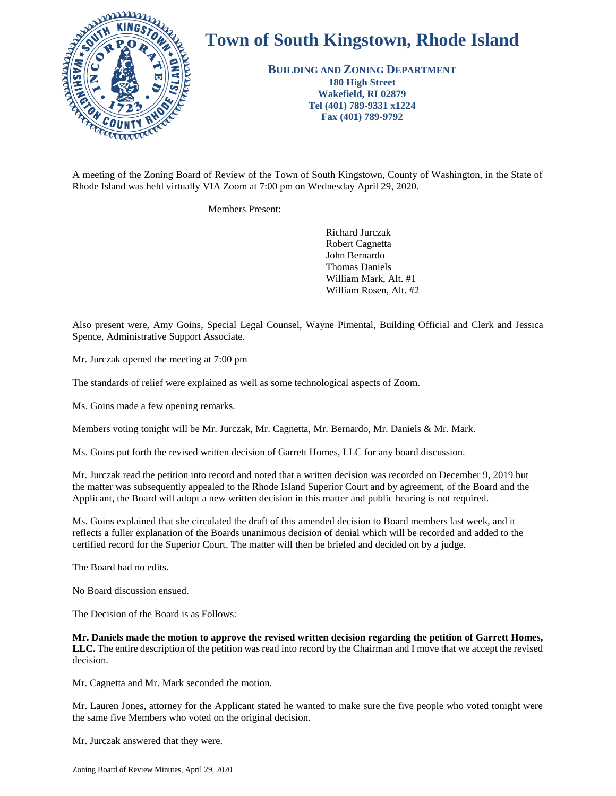

## **Town of South Kingstown, Rhode Island**

**BUILDING AND ZONING DEPARTMENT 180 High Street Wakefield, RI 02879 Tel (401) 789-9331 x1224 Fax (401) 789-9792**

Rhode Island was held virtually VIA Zoom at 7:00 pm on Wednesday April 29, 2020.

Members Present:

Richard Jurczak Robert Cagnetta John Bernardo Thomas Daniels William Mark, Alt. #1 William Rosen, Alt. #2

Also present were, Amy Goins, Special Legal Counsel, Wayne Pimental, Building Official and Clerk and Jessica Spence, Administrative Support Associate.

Mr. Jurczak opened the meeting at 7:00 pm

The standards of relief were explained as well as some technological aspects of Zoom.

Ms. Goins made a few opening remarks.

Members voting tonight will be Mr. Jurczak, Mr. Cagnetta, Mr. Bernardo, Mr. Daniels & Mr. Mark.

Ms. Goins put forth the revised written decision of Garrett Homes, LLC for any board discussion.

Mr. Jurczak read the petition into record and noted that a written decision was recorded on December 9, 2019 but the matter was subsequently appealed to the Rhode Island Superior Court and by agreement, of the Board and the Applicant, the Board will adopt a new written decision in this matter and public hearing is not required.

Ms. Goins explained that she circulated the draft of this amended decision to Board members last week, and it reflects a fuller explanation of the Boards unanimous decision of denial which will be recorded and added to the certified record for the Superior Court. The matter will then be briefed and decided on by a judge.

The Board had no edits.

No Board discussion ensued.

The Decision of the Board is as Follows:

**Mr. Daniels made the motion to approve the revised written decision regarding the petition of Garrett Homes, LLC.** The entire description of the petition was read into record by the Chairman and I move that we accept the revised decision.

Mr. Cagnetta and Mr. Mark seconded the motion.

Mr. Lauren Jones, attorney for the Applicant stated he wanted to make sure the five people who voted tonight were the same five Members who voted on the original decision.

Mr. Jurczak answered that they were.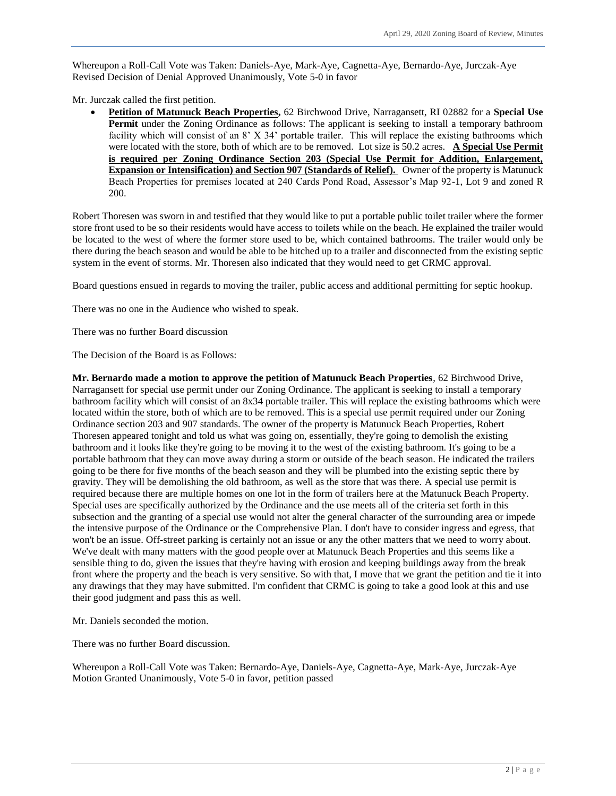Whereupon a Roll-Call Vote was Taken: Daniels-Aye, Mark-Aye, Cagnetta-Aye, Bernardo-Aye, Jurczak-Aye Revised Decision of Denial Approved Unanimously, Vote 5-0 in favor

Mr. Jurczak called the first petition.

 **Petition of Matunuck Beach Properties,** 62 Birchwood Drive, Narragansett, RI 02882 for a **Special Use Permit** under the Zoning Ordinance as follows: The applicant is seeking to install a temporary bathroom facility which will consist of an 8' X 34' portable trailer. This will replace the existing bathrooms which were located with the store, both of which are to be removed. Lot size is 50.2 acres. **A Special Use Permit is required per Zoning Ordinance Section 203 (Special Use Permit for Addition, Enlargement, Expansion or Intensification) and Section 907 (Standards of Relief).** Owner of the property is Matunuck Beach Properties for premises located at 240 Cards Pond Road, Assessor's Map 92-1, Lot 9 and zoned R 200.

Robert Thoresen was sworn in and testified that they would like to put a portable public toilet trailer where the former store front used to be so their residents would have access to toilets while on the beach. He explained the trailer would be located to the west of where the former store used to be, which contained bathrooms. The trailer would only be there during the beach season and would be able to be hitched up to a trailer and disconnected from the existing septic system in the event of storms. Mr. Thoresen also indicated that they would need to get CRMC approval.

Board questions ensued in regards to moving the trailer, public access and additional permitting for septic hookup.

There was no one in the Audience who wished to speak.

There was no further Board discussion

The Decision of the Board is as Follows:

**Mr. Bernardo made a motion to approve the petition of Matunuck Beach Properties**, 62 Birchwood Drive, Narragansett for special use permit under our Zoning Ordinance. The applicant is seeking to install a temporary bathroom facility which will consist of an 8x34 portable trailer. This will replace the existing bathrooms which were located within the store, both of which are to be removed. This is a special use permit required under our Zoning Ordinance section 203 and 907 standards. The owner of the property is Matunuck Beach Properties, Robert Thoresen appeared tonight and told us what was going on, essentially, they're going to demolish the existing bathroom and it looks like they're going to be moving it to the west of the existing bathroom. It's going to be a portable bathroom that they can move away during a storm or outside of the beach season. He indicated the trailers going to be there for five months of the beach season and they will be plumbed into the existing septic there by gravity. They will be demolishing the old bathroom, as well as the store that was there. A special use permit is required because there are multiple homes on one lot in the form of trailers here at the Matunuck Beach Property. Special uses are specifically authorized by the Ordinance and the use meets all of the criteria set forth in this subsection and the granting of a special use would not alter the general character of the surrounding area or impede the intensive purpose of the Ordinance or the Comprehensive Plan. I don't have to consider ingress and egress, that won't be an issue. Off-street parking is certainly not an issue or any the other matters that we need to worry about. We've dealt with many matters with the good people over at Matunuck Beach Properties and this seems like a sensible thing to do, given the issues that they're having with erosion and keeping buildings away from the break front where the property and the beach is very sensitive. So with that, I move that we grant the petition and tie it into any drawings that they may have submitted. I'm confident that CRMC is going to take a good look at this and use their good judgment and pass this as well.

Mr. Daniels seconded the motion.

There was no further Board discussion.

Whereupon a Roll-Call Vote was Taken: Bernardo-Aye, Daniels-Aye, Cagnetta-Aye, Mark-Aye, Jurczak-Aye Motion Granted Unanimously, Vote 5-0 in favor, petition passed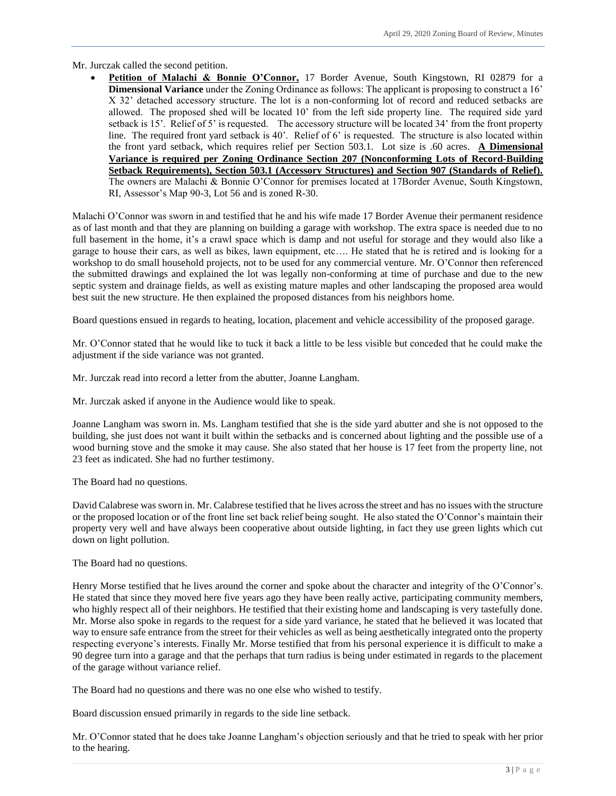Mr. Jurczak called the second petition.

Petition of Malachi & Bonnie O'Connor, 17 Border Avenue, South Kingstown, RI 02879 for a **Dimensional Variance** under the Zoning Ordinance as follows: The applicant is proposing to construct a 16' X 32' detached accessory structure. The lot is a non-conforming lot of record and reduced setbacks are allowed. The proposed shed will be located 10' from the left side property line. The required side yard setback is 15'. Relief of 5' is requested. The accessory structure will be located 34' from the front property line. The required front yard setback is 40'. Relief of 6' is requested. The structure is also located within the front yard setback, which requires relief per Section 503.1. Lot size is .60 acres. **A Dimensional Variance is required per Zoning Ordinance Section 207 (Nonconforming Lots of Record-Building Setback Requirements), Section 503.1 (Accessory Structures) and Section 907 (Standards of Relief).** The owners are Malachi & Bonnie O'Connor for premises located at 17Border Avenue, South Kingstown, RI, Assessor's Map 90-3, Lot 56 and is zoned R-30.

Malachi O'Connor was sworn in and testified that he and his wife made 17 Border Avenue their permanent residence as of last month and that they are planning on building a garage with workshop. The extra space is needed due to no full basement in the home, it's a crawl space which is damp and not useful for storage and they would also like a garage to house their cars, as well as bikes, lawn equipment, etc…. He stated that he is retired and is looking for a workshop to do small household projects, not to be used for any commercial venture. Mr. O'Connor then referenced the submitted drawings and explained the lot was legally non-conforming at time of purchase and due to the new septic system and drainage fields, as well as existing mature maples and other landscaping the proposed area would best suit the new structure. He then explained the proposed distances from his neighbors home.

Board questions ensued in regards to heating, location, placement and vehicle accessibility of the proposed garage.

Mr. O'Connor stated that he would like to tuck it back a little to be less visible but conceded that he could make the adjustment if the side variance was not granted.

Mr. Jurczak read into record a letter from the abutter, Joanne Langham.

Mr. Jurczak asked if anyone in the Audience would like to speak.

Joanne Langham was sworn in. Ms. Langham testified that she is the side yard abutter and she is not opposed to the building, she just does not want it built within the setbacks and is concerned about lighting and the possible use of a wood burning stove and the smoke it may cause. She also stated that her house is 17 feet from the property line, not 23 feet as indicated. She had no further testimony.

The Board had no questions.

David Calabrese was sworn in. Mr. Calabrese testified that he lives across the street and has no issues with the structure or the proposed location or of the front line set back relief being sought. He also stated the O'Connor's maintain their property very well and have always been cooperative about outside lighting, in fact they use green lights which cut down on light pollution.

The Board had no questions.

Henry Morse testified that he lives around the corner and spoke about the character and integrity of the O'Connor's. He stated that since they moved here five years ago they have been really active, participating community members, who highly respect all of their neighbors. He testified that their existing home and landscaping is very tastefully done. Mr. Morse also spoke in regards to the request for a side yard variance, he stated that he believed it was located that way to ensure safe entrance from the street for their vehicles as well as being aesthetically integrated onto the property respecting everyone's interests. Finally Mr. Morse testified that from his personal experience it is difficult to make a 90 degree turn into a garage and that the perhaps that turn radius is being under estimated in regards to the placement of the garage without variance relief.

The Board had no questions and there was no one else who wished to testify.

Board discussion ensued primarily in regards to the side line setback.

Mr. O'Connor stated that he does take Joanne Langham's objection seriously and that he tried to speak with her prior to the hearing.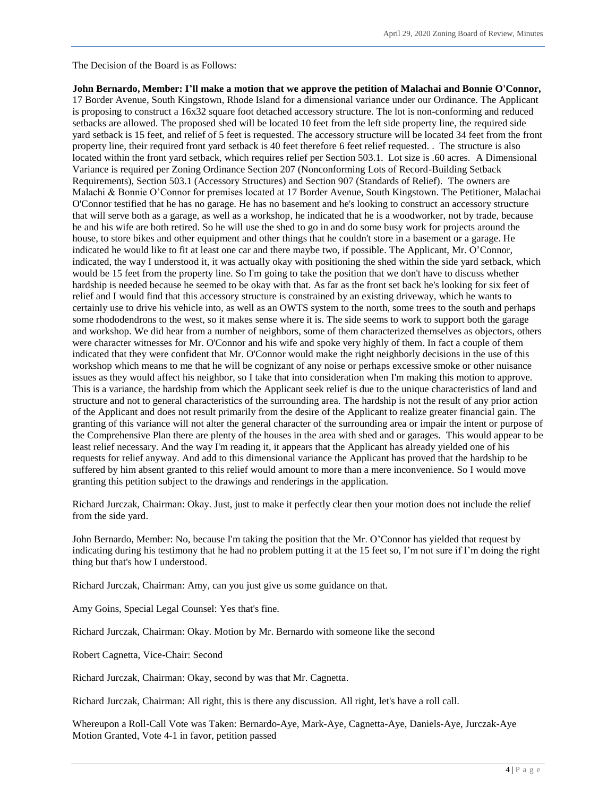The Decision of the Board is as Follows:

**John Bernardo, Member: I'll make a motion that we approve the petition of Malachai and Bonnie O'Connor,** 17 Border Avenue, South Kingstown, Rhode Island for a dimensional variance under our Ordinance. The Applicant is proposing to construct a 16x32 square foot detached accessory structure. The lot is non-conforming and reduced setbacks are allowed. The proposed shed will be located 10 feet from the left side property line, the required side yard setback is 15 feet, and relief of 5 feet is requested. The accessory structure will be located 34 feet from the front property line, their required front yard setback is 40 feet therefore 6 feet relief requested. . The structure is also located within the front yard setback, which requires relief per Section 503.1. Lot size is .60 acres. A Dimensional Variance is required per Zoning Ordinance Section 207 (Nonconforming Lots of Record-Building Setback Requirements), Section 503.1 (Accessory Structures) and Section 907 (Standards of Relief). The owners are Malachi & Bonnie O'Connor for premises located at 17 Border Avenue, South Kingstown. The Petitioner, Malachai O'Connor testified that he has no garage. He has no basement and he's looking to construct an accessory structure that will serve both as a garage, as well as a workshop, he indicated that he is a woodworker, not by trade, because he and his wife are both retired. So he will use the shed to go in and do some busy work for projects around the house, to store bikes and other equipment and other things that he couldn't store in a basement or a garage. He indicated he would like to fit at least one car and there maybe two, if possible. The Applicant, Mr. O'Connor, indicated, the way I understood it, it was actually okay with positioning the shed within the side yard setback, which would be 15 feet from the property line. So I'm going to take the position that we don't have to discuss whether hardship is needed because he seemed to be okay with that. As far as the front set back he's looking for six feet of relief and I would find that this accessory structure is constrained by an existing driveway, which he wants to certainly use to drive his vehicle into, as well as an OWTS system to the north, some trees to the south and perhaps some rhododendrons to the west, so it makes sense where it is. The side seems to work to support both the garage and workshop. We did hear from a number of neighbors, some of them characterized themselves as objectors, others were character witnesses for Mr. O'Connor and his wife and spoke very highly of them. In fact a couple of them indicated that they were confident that Mr. O'Connor would make the right neighborly decisions in the use of this workshop which means to me that he will be cognizant of any noise or perhaps excessive smoke or other nuisance issues as they would affect his neighbor, so I take that into consideration when I'm making this motion to approve. This is a variance, the hardship from which the Applicant seek relief is due to the unique characteristics of land and structure and not to general characteristics of the surrounding area. The hardship is not the result of any prior action of the Applicant and does not result primarily from the desire of the Applicant to realize greater financial gain. The granting of this variance will not alter the general character of the surrounding area or impair the intent or purpose of the Comprehensive Plan there are plenty of the houses in the area with shed and or garages. This would appear to be least relief necessary. And the way I'm reading it, it appears that the Applicant has already yielded one of his requests for relief anyway. And add to this dimensional variance the Applicant has proved that the hardship to be suffered by him absent granted to this relief would amount to more than a mere inconvenience. So I would move granting this petition subject to the drawings and renderings in the application.

Richard Jurczak, Chairman: Okay. Just, just to make it perfectly clear then your motion does not include the relief from the side yard.

John Bernardo, Member: No, because I'm taking the position that the Mr. O'Connor has yielded that request by indicating during his testimony that he had no problem putting it at the 15 feet so, I'm not sure if I'm doing the right thing but that's how I understood.

Richard Jurczak, Chairman: Amy, can you just give us some guidance on that.

Amy Goins, Special Legal Counsel: Yes that's fine.

Richard Jurczak, Chairman: Okay. Motion by Mr. Bernardo with someone like the second

Robert Cagnetta, Vice-Chair: Second

Richard Jurczak, Chairman: Okay, second by was that Mr. Cagnetta.

Richard Jurczak, Chairman: All right, this is there any discussion. All right, let's have a roll call.

Whereupon a Roll-Call Vote was Taken: Bernardo-Aye, Mark-Aye, Cagnetta-Aye, Daniels-Aye, Jurczak-Aye Motion Granted, Vote 4-1 in favor, petition passed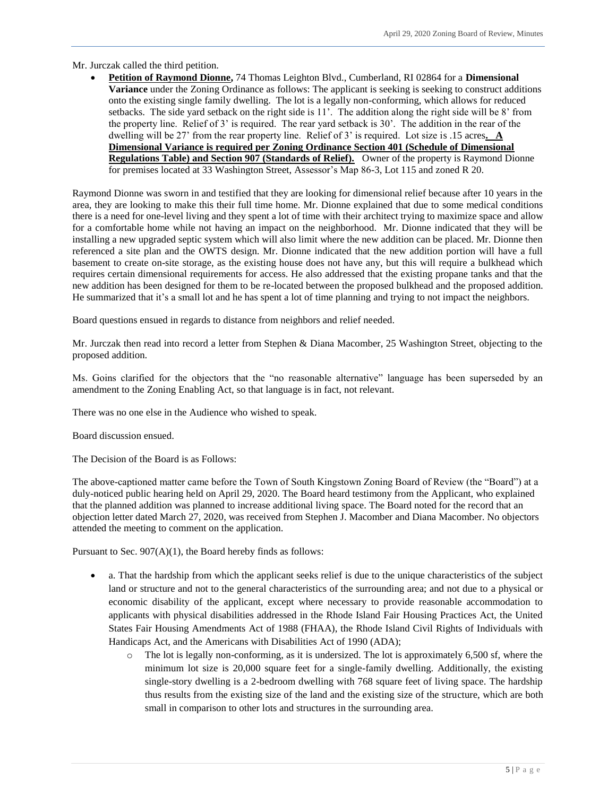Mr. Jurczak called the third petition.

 **Petition of Raymond Dionne,** 74 Thomas Leighton Blvd., Cumberland, RI 02864 for a **Dimensional Variance** under the Zoning Ordinance as follows: The applicant is seeking is seeking to construct additions onto the existing single family dwelling. The lot is a legally non-conforming, which allows for reduced setbacks. The side yard setback on the right side is 11'. The addition along the right side will be 8' from the property line. Relief of 3' is required. The rear yard setback is 30'. The addition in the rear of the dwelling will be 27' from the rear property line. Relief of 3' is required. Lot size is .15 acres**. A Dimensional Variance is required per Zoning Ordinance Section 401 (Schedule of Dimensional Regulations Table) and Section 907 (Standards of Relief).** Owner of the property is Raymond Dionne for premises located at 33 Washington Street, Assessor's Map 86-3, Lot 115 and zoned R 20.

Raymond Dionne was sworn in and testified that they are looking for dimensional relief because after 10 years in the area, they are looking to make this their full time home. Mr. Dionne explained that due to some medical conditions there is a need for one-level living and they spent a lot of time with their architect trying to maximize space and allow for a comfortable home while not having an impact on the neighborhood. Mr. Dionne indicated that they will be installing a new upgraded septic system which will also limit where the new addition can be placed. Mr. Dionne then referenced a site plan and the OWTS design. Mr. Dionne indicated that the new addition portion will have a full basement to create on-site storage, as the existing house does not have any, but this will require a bulkhead which requires certain dimensional requirements for access. He also addressed that the existing propane tanks and that the new addition has been designed for them to be re-located between the proposed bulkhead and the proposed addition. He summarized that it's a small lot and he has spent a lot of time planning and trying to not impact the neighbors.

Board questions ensued in regards to distance from neighbors and relief needed.

Mr. Jurczak then read into record a letter from Stephen & Diana Macomber, 25 Washington Street, objecting to the proposed addition.

Ms. Goins clarified for the objectors that the "no reasonable alternative" language has been superseded by an amendment to the Zoning Enabling Act, so that language is in fact, not relevant.

There was no one else in the Audience who wished to speak.

Board discussion ensued.

The Decision of the Board is as Follows:

The above-captioned matter came before the Town of South Kingstown Zoning Board of Review (the "Board") at a duly-noticed public hearing held on April 29, 2020. The Board heard testimony from the Applicant, who explained that the planned addition was planned to increase additional living space. The Board noted for the record that an objection letter dated March 27, 2020, was received from Stephen J. Macomber and Diana Macomber. No objectors attended the meeting to comment on the application.

Pursuant to Sec. 907(A)(1), the Board hereby finds as follows:

- a. That the hardship from which the applicant seeks relief is due to the unique characteristics of the subject land or structure and not to the general characteristics of the surrounding area; and not due to a physical or economic disability of the applicant, except where necessary to provide reasonable accommodation to applicants with physical disabilities addressed in the Rhode Island Fair Housing Practices Act, the United States Fair Housing Amendments Act of 1988 (FHAA), the Rhode Island Civil Rights of Individuals with Handicaps Act, and the Americans with Disabilities Act of 1990 (ADA);
	- $\circ$  The lot is legally non-conforming, as it is undersized. The lot is approximately 6,500 sf, where the minimum lot size is 20,000 square feet for a single-family dwelling. Additionally, the existing single-story dwelling is a 2-bedroom dwelling with 768 square feet of living space. The hardship thus results from the existing size of the land and the existing size of the structure, which are both small in comparison to other lots and structures in the surrounding area.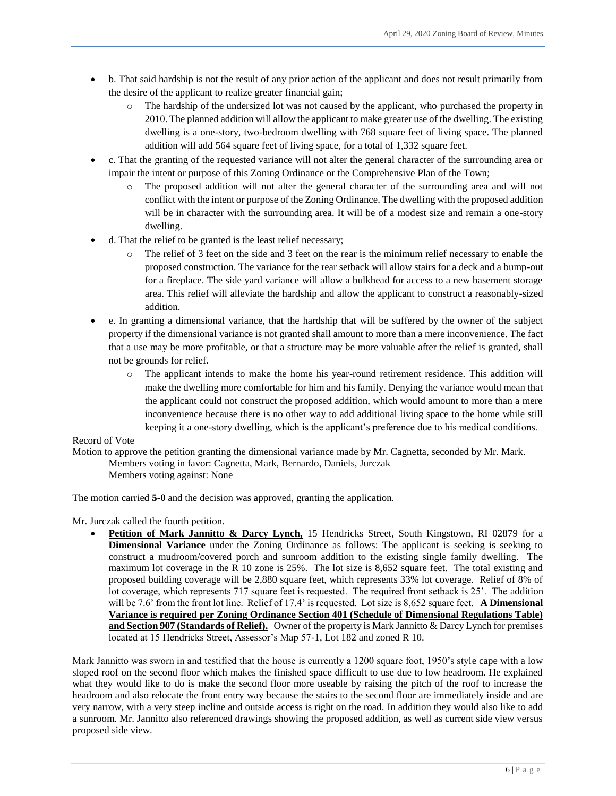- b. That said hardship is not the result of any prior action of the applicant and does not result primarily from the desire of the applicant to realize greater financial gain;
	- o The hardship of the undersized lot was not caused by the applicant, who purchased the property in 2010. The planned addition will allow the applicant to make greater use of the dwelling. The existing dwelling is a one-story, two-bedroom dwelling with 768 square feet of living space. The planned addition will add 564 square feet of living space, for a total of 1,332 square feet.
- c. That the granting of the requested variance will not alter the general character of the surrounding area or impair the intent or purpose of this Zoning Ordinance or the Comprehensive Plan of the Town;
	- o The proposed addition will not alter the general character of the surrounding area and will not conflict with the intent or purpose of the Zoning Ordinance. The dwelling with the proposed addition will be in character with the surrounding area. It will be of a modest size and remain a one-story dwelling.
- d. That the relief to be granted is the least relief necessary;
	- o The relief of 3 feet on the side and 3 feet on the rear is the minimum relief necessary to enable the proposed construction. The variance for the rear setback will allow stairs for a deck and a bump-out for a fireplace. The side yard variance will allow a bulkhead for access to a new basement storage area. This relief will alleviate the hardship and allow the applicant to construct a reasonably-sized addition.
- e. In granting a dimensional variance, that the hardship that will be suffered by the owner of the subject property if the dimensional variance is not granted shall amount to more than a mere inconvenience. The fact that a use may be more profitable, or that a structure may be more valuable after the relief is granted, shall not be grounds for relief.
	- o The applicant intends to make the home his year-round retirement residence. This addition will make the dwelling more comfortable for him and his family. Denying the variance would mean that the applicant could not construct the proposed addition, which would amount to more than a mere inconvenience because there is no other way to add additional living space to the home while still keeping it a one-story dwelling, which is the applicant's preference due to his medical conditions.

## Record of Vote

Motion to approve the petition granting the dimensional variance made by Mr. Cagnetta, seconded by Mr. Mark. Members voting in favor: Cagnetta, Mark, Bernardo, Daniels, Jurczak Members voting against: None

The motion carried **5-0** and the decision was approved, granting the application.

Mr. Jurczak called the fourth petition.

 **Petition of Mark Jannitto & Darcy Lynch,** 15 Hendricks Street, South Kingstown, RI 02879 for a **Dimensional Variance** under the Zoning Ordinance as follows: The applicant is seeking is seeking to construct a mudroom/covered porch and sunroom addition to the existing single family dwelling. The maximum lot coverage in the R 10 zone is 25%. The lot size is 8,652 square feet. The total existing and proposed building coverage will be 2,880 square feet, which represents 33% lot coverage. Relief of 8% of lot coverage, which represents 717 square feet is requested. The required front setback is 25'. The addition will be 7.6<sup>'</sup> from the front lot line. Relief of 17.4' is requested. Lot size is 8,652 square feet. **A Dimensional Variance is required per Zoning Ordinance Section 401 (Schedule of Dimensional Regulations Table) and Section 907 (Standards of Relief).** Owner of the property is Mark Jannitto & Darcy Lynch for premises located at 15 Hendricks Street, Assessor's Map 57-1, Lot 182 and zoned R 10.

Mark Jannitto was sworn in and testified that the house is currently a 1200 square foot, 1950's style cape with a low sloped roof on the second floor which makes the finished space difficult to use due to low headroom. He explained what they would like to do is make the second floor more useable by raising the pitch of the roof to increase the headroom and also relocate the front entry way because the stairs to the second floor are immediately inside and are very narrow, with a very steep incline and outside access is right on the road. In addition they would also like to add a sunroom. Mr. Jannitto also referenced drawings showing the proposed addition, as well as current side view versus proposed side view.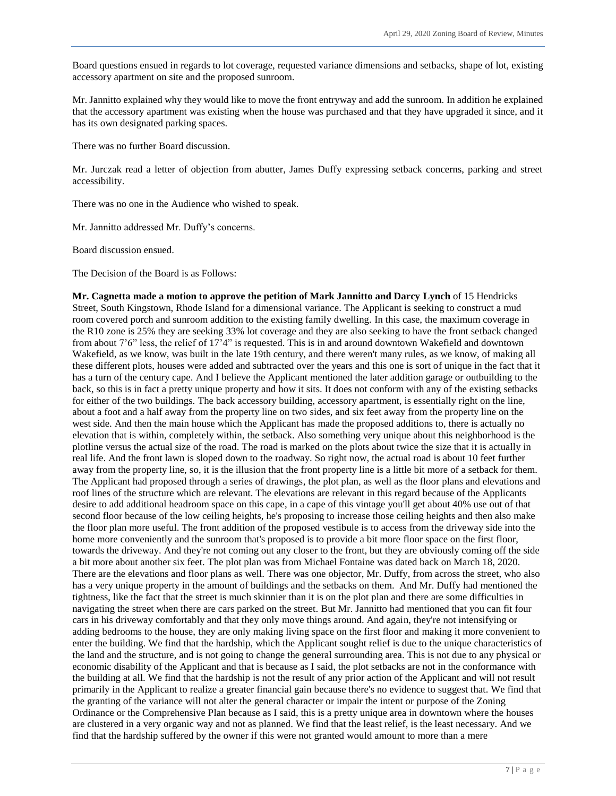Board questions ensued in regards to lot coverage, requested variance dimensions and setbacks, shape of lot, existing accessory apartment on site and the proposed sunroom.

Mr. Jannitto explained why they would like to move the front entryway and add the sunroom. In addition he explained that the accessory apartment was existing when the house was purchased and that they have upgraded it since, and it has its own designated parking spaces.

There was no further Board discussion.

Mr. Jurczak read a letter of objection from abutter, James Duffy expressing setback concerns, parking and street accessibility.

There was no one in the Audience who wished to speak.

Mr. Jannitto addressed Mr. Duffy's concerns.

Board discussion ensued.

The Decision of the Board is as Follows:

**Mr. Cagnetta made a motion to approve the petition of Mark Jannitto and Darcy Lynch** of 15 Hendricks Street, South Kingstown, Rhode Island for a dimensional variance. The Applicant is seeking to construct a mud room covered porch and sunroom addition to the existing family dwelling. In this case, the maximum coverage in the R10 zone is 25% they are seeking 33% lot coverage and they are also seeking to have the front setback changed from about 7'6" less, the relief of 17'4" is requested. This is in and around downtown Wakefield and downtown Wakefield, as we know, was built in the late 19th century, and there weren't many rules, as we know, of making all these different plots, houses were added and subtracted over the years and this one is sort of unique in the fact that it has a turn of the century cape. And I believe the Applicant mentioned the later addition garage or outbuilding to the back, so this is in fact a pretty unique property and how it sits. It does not conform with any of the existing setbacks for either of the two buildings. The back accessory building, accessory apartment, is essentially right on the line, about a foot and a half away from the property line on two sides, and six feet away from the property line on the west side. And then the main house which the Applicant has made the proposed additions to, there is actually no elevation that is within, completely within, the setback. Also something very unique about this neighborhood is the plotline versus the actual size of the road. The road is marked on the plots about twice the size that it is actually in real life. And the front lawn is sloped down to the roadway. So right now, the actual road is about 10 feet further away from the property line, so, it is the illusion that the front property line is a little bit more of a setback for them. The Applicant had proposed through a series of drawings, the plot plan, as well as the floor plans and elevations and roof lines of the structure which are relevant. The elevations are relevant in this regard because of the Applicants desire to add additional headroom space on this cape, in a cape of this vintage you'll get about 40% use out of that second floor because of the low ceiling heights, he's proposing to increase those ceiling heights and then also make the floor plan more useful. The front addition of the proposed vestibule is to access from the driveway side into the home more conveniently and the sunroom that's proposed is to provide a bit more floor space on the first floor, towards the driveway. And they're not coming out any closer to the front, but they are obviously coming off the side a bit more about another six feet. The plot plan was from Michael Fontaine was dated back on March 18, 2020. There are the elevations and floor plans as well. There was one objector, Mr. Duffy, from across the street, who also has a very unique property in the amount of buildings and the setbacks on them. And Mr. Duffy had mentioned the tightness, like the fact that the street is much skinnier than it is on the plot plan and there are some difficulties in navigating the street when there are cars parked on the street. But Mr. Jannitto had mentioned that you can fit four cars in his driveway comfortably and that they only move things around. And again, they're not intensifying or adding bedrooms to the house, they are only making living space on the first floor and making it more convenient to enter the building. We find that the hardship, which the Applicant sought relief is due to the unique characteristics of the land and the structure, and is not going to change the general surrounding area. This is not due to any physical or economic disability of the Applicant and that is because as I said, the plot setbacks are not in the conformance with the building at all. We find that the hardship is not the result of any prior action of the Applicant and will not result primarily in the Applicant to realize a greater financial gain because there's no evidence to suggest that. We find that the granting of the variance will not alter the general character or impair the intent or purpose of the Zoning Ordinance or the Comprehensive Plan because as I said, this is a pretty unique area in downtown where the houses are clustered in a very organic way and not as planned. We find that the least relief, is the least necessary. And we find that the hardship suffered by the owner if this were not granted would amount to more than a mere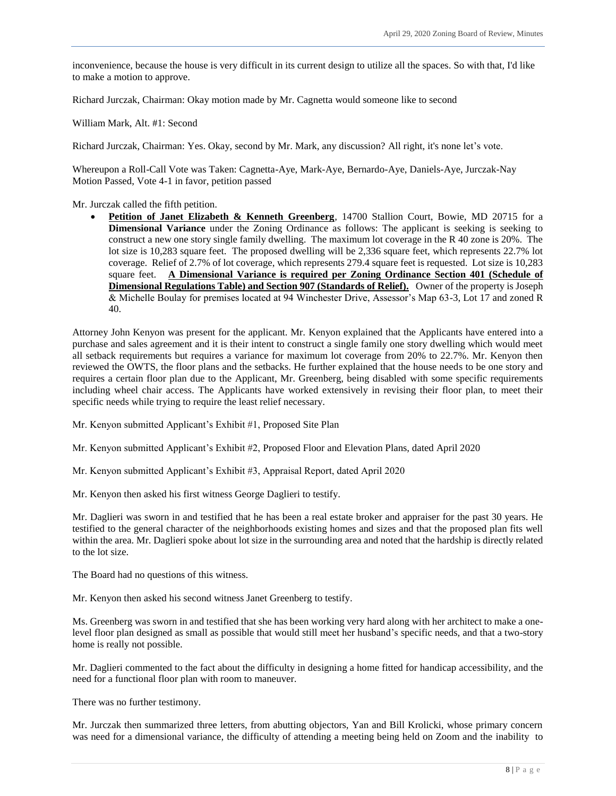inconvenience, because the house is very difficult in its current design to utilize all the spaces. So with that, I'd like to make a motion to approve.

Richard Jurczak, Chairman: Okay motion made by Mr. Cagnetta would someone like to second

William Mark, Alt. #1: Second

Richard Jurczak, Chairman: Yes. Okay, second by Mr. Mark, any discussion? All right, it's none let's vote.

Whereupon a Roll-Call Vote was Taken: Cagnetta-Aye, Mark-Aye, Bernardo-Aye, Daniels-Aye, Jurczak-Nay Motion Passed, Vote 4-1 in favor, petition passed

Mr. Jurczak called the fifth petition.

**Petition of Janet Elizabeth & Kenneth Greenberg**, 14700 Stallion Court, Bowie, MD 20715 for a **Dimensional Variance** under the Zoning Ordinance as follows: The applicant is seeking is seeking to construct a new one story single family dwelling. The maximum lot coverage in the R 40 zone is 20%. The lot size is 10,283 square feet. The proposed dwelling will be 2,336 square feet, which represents 22.7% lot coverage. Relief of 2.7% of lot coverage, which represents 279.4 square feet is requested. Lot size is 10,283 square feet. **A Dimensional Variance is required per Zoning Ordinance Section 401 (Schedule of Dimensional Regulations Table) and Section 907 (Standards of Relief).** Owner of the property is Joseph & Michelle Boulay for premises located at 94 Winchester Drive, Assessor's Map 63-3, Lot 17 and zoned R 40.

Attorney John Kenyon was present for the applicant. Mr. Kenyon explained that the Applicants have entered into a purchase and sales agreement and it is their intent to construct a single family one story dwelling which would meet all setback requirements but requires a variance for maximum lot coverage from 20% to 22.7%. Mr. Kenyon then reviewed the OWTS, the floor plans and the setbacks. He further explained that the house needs to be one story and requires a certain floor plan due to the Applicant, Mr. Greenberg, being disabled with some specific requirements including wheel chair access. The Applicants have worked extensively in revising their floor plan, to meet their specific needs while trying to require the least relief necessary.

Mr. Kenyon submitted Applicant's Exhibit #1, Proposed Site Plan

Mr. Kenyon submitted Applicant's Exhibit #2, Proposed Floor and Elevation Plans, dated April 2020

Mr. Kenyon submitted Applicant's Exhibit #3, Appraisal Report, dated April 2020

Mr. Kenyon then asked his first witness George Daglieri to testify.

Mr. Daglieri was sworn in and testified that he has been a real estate broker and appraiser for the past 30 years. He testified to the general character of the neighborhoods existing homes and sizes and that the proposed plan fits well within the area. Mr. Daglieri spoke about lot size in the surrounding area and noted that the hardship is directly related to the lot size.

The Board had no questions of this witness.

Mr. Kenyon then asked his second witness Janet Greenberg to testify.

Ms. Greenberg was sworn in and testified that she has been working very hard along with her architect to make a onelevel floor plan designed as small as possible that would still meet her husband's specific needs, and that a two-story home is really not possible.

Mr. Daglieri commented to the fact about the difficulty in designing a home fitted for handicap accessibility, and the need for a functional floor plan with room to maneuver.

There was no further testimony.

Mr. Jurczak then summarized three letters, from abutting objectors, Yan and Bill Krolicki, whose primary concern was need for a dimensional variance, the difficulty of attending a meeting being held on Zoom and the inability to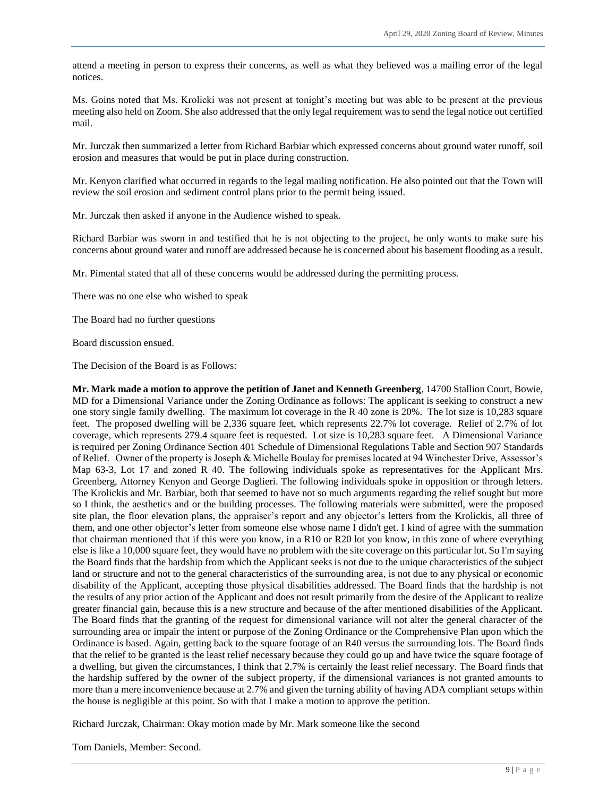attend a meeting in person to express their concerns, as well as what they believed was a mailing error of the legal notices.

Ms. Goins noted that Ms. Krolicki was not present at tonight's meeting but was able to be present at the previous meeting also held on Zoom. She also addressed that the only legal requirement was to send the legal notice out certified mail.

Mr. Jurczak then summarized a letter from Richard Barbiar which expressed concerns about ground water runoff, soil erosion and measures that would be put in place during construction.

Mr. Kenyon clarified what occurred in regards to the legal mailing notification. He also pointed out that the Town will review the soil erosion and sediment control plans prior to the permit being issued.

Mr. Jurczak then asked if anyone in the Audience wished to speak.

Richard Barbiar was sworn in and testified that he is not objecting to the project, he only wants to make sure his concerns about ground water and runoff are addressed because he is concerned about his basement flooding as a result.

Mr. Pimental stated that all of these concerns would be addressed during the permitting process.

There was no one else who wished to speak

The Board had no further questions

Board discussion ensued.

The Decision of the Board is as Follows:

**Mr. Mark made a motion to approve the petition of Janet and Kenneth Greenberg**, 14700 Stallion Court, Bowie, MD for a Dimensional Variance under the Zoning Ordinance as follows: The applicant is seeking to construct a new one story single family dwelling. The maximum lot coverage in the R 40 zone is 20%. The lot size is 10,283 square feet. The proposed dwelling will be 2,336 square feet, which represents 22.7% lot coverage. Relief of 2.7% of lot coverage, which represents 279.4 square feet is requested. Lot size is 10,283 square feet. A Dimensional Variance is required per Zoning Ordinance Section 401 Schedule of Dimensional Regulations Table and Section 907 Standards of Relief. Owner of the property is Joseph & Michelle Boulay for premises located at 94 Winchester Drive, Assessor's Map 63-3, Lot 17 and zoned R 40. The following individuals spoke as representatives for the Applicant Mrs. Greenberg, Attorney Kenyon and George Daglieri. The following individuals spoke in opposition or through letters. The Krolickis and Mr. Barbiar, both that seemed to have not so much arguments regarding the relief sought but more so I think, the aesthetics and or the building processes. The following materials were submitted, were the proposed site plan, the floor elevation plans, the appraiser's report and any objector's letters from the Krolickis, all three of them, and one other objector's letter from someone else whose name I didn't get. I kind of agree with the summation that chairman mentioned that if this were you know, in a R10 or R20 lot you know, in this zone of where everything else is like a 10,000 square feet, they would have no problem with the site coverage on this particular lot. So I'm saying the Board finds that the hardship from which the Applicant seeks is not due to the unique characteristics of the subject land or structure and not to the general characteristics of the surrounding area, is not due to any physical or economic disability of the Applicant, accepting those physical disabilities addressed. The Board finds that the hardship is not the results of any prior action of the Applicant and does not result primarily from the desire of the Applicant to realize greater financial gain, because this is a new structure and because of the after mentioned disabilities of the Applicant. The Board finds that the granting of the request for dimensional variance will not alter the general character of the surrounding area or impair the intent or purpose of the Zoning Ordinance or the Comprehensive Plan upon which the Ordinance is based. Again, getting back to the square footage of an R40 versus the surrounding lots. The Board finds that the relief to be granted is the least relief necessary because they could go up and have twice the square footage of a dwelling, but given the circumstances, I think that 2.7% is certainly the least relief necessary. The Board finds that the hardship suffered by the owner of the subject property, if the dimensional variances is not granted amounts to more than a mere inconvenience because at 2.7% and given the turning ability of having ADA compliant setups within the house is negligible at this point. So with that I make a motion to approve the petition.

Richard Jurczak, Chairman: Okay motion made by Mr. Mark someone like the second

Tom Daniels, Member: Second.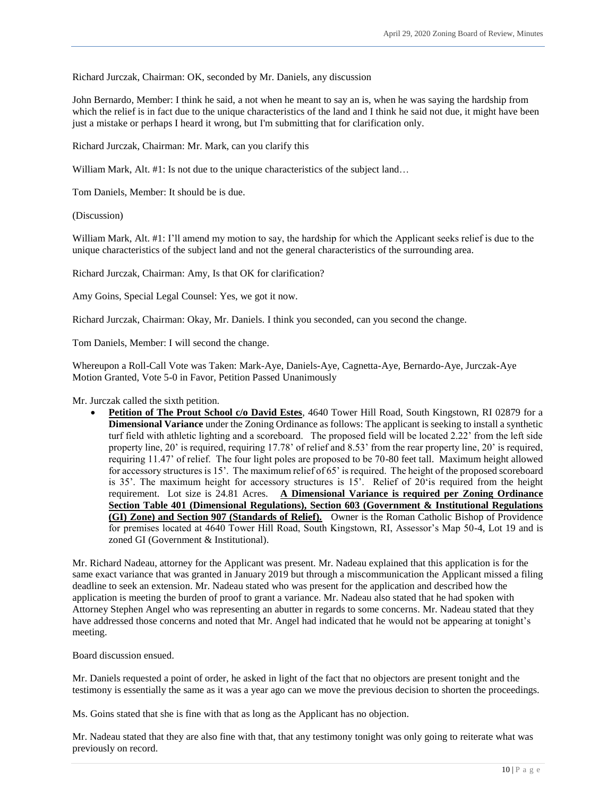Richard Jurczak, Chairman: OK, seconded by Mr. Daniels, any discussion

John Bernardo, Member: I think he said, a not when he meant to say an is, when he was saying the hardship from which the relief is in fact due to the unique characteristics of the land and I think he said not due, it might have been just a mistake or perhaps I heard it wrong, but I'm submitting that for clarification only.

Richard Jurczak, Chairman: Mr. Mark, can you clarify this

William Mark, Alt. #1: Is not due to the unique characteristics of the subject land...

Tom Daniels, Member: It should be is due.

(Discussion)

William Mark, Alt. #1: I'll amend my motion to say, the hardship for which the Applicant seeks relief is due to the unique characteristics of the subject land and not the general characteristics of the surrounding area.

Richard Jurczak, Chairman: Amy, Is that OK for clarification?

Amy Goins, Special Legal Counsel: Yes, we got it now.

Richard Jurczak, Chairman: Okay, Mr. Daniels. I think you seconded, can you second the change.

Tom Daniels, Member: I will second the change.

Whereupon a Roll-Call Vote was Taken: Mark-Aye, Daniels-Aye, Cagnetta-Aye, Bernardo-Aye, Jurczak-Aye Motion Granted, Vote 5-0 in Favor, Petition Passed Unanimously

Mr. Jurczak called the sixth petition.

 **Petition of The Prout School c/o David Estes**, 4640 Tower Hill Road, South Kingstown, RI 02879 for a **Dimensional Variance** under the Zoning Ordinance as follows: The applicant is seeking to install a synthetic turf field with athletic lighting and a scoreboard. The proposed field will be located 2.22' from the left side property line, 20' is required, requiring 17.78' of relief and 8.53' from the rear property line, 20' is required, requiring 11.47' of relief. The four light poles are proposed to be 70-80 feet tall. Maximum height allowed for accessory structures is 15'. The maximum relief of 65' is required. The height of the proposed scoreboard is 35'. The maximum height for accessory structures is 15'. Relief of 20'is required from the height requirement. Lot size is 24.81 Acres. **A Dimensional Variance is required per Zoning Ordinance Section Table 401 (Dimensional Regulations), Section 603 (Government & Institutional Regulations (GI) Zone) and Section 907 (Standards of Relief).** Owner is the Roman Catholic Bishop of Providence for premises located at 4640 Tower Hill Road, South Kingstown, RI, Assessor's Map 50-4, Lot 19 and is zoned GI (Government & Institutional).

Mr. Richard Nadeau, attorney for the Applicant was present. Mr. Nadeau explained that this application is for the same exact variance that was granted in January 2019 but through a miscommunication the Applicant missed a filing deadline to seek an extension. Mr. Nadeau stated who was present for the application and described how the application is meeting the burden of proof to grant a variance. Mr. Nadeau also stated that he had spoken with Attorney Stephen Angel who was representing an abutter in regards to some concerns. Mr. Nadeau stated that they have addressed those concerns and noted that Mr. Angel had indicated that he would not be appearing at tonight's meeting.

Board discussion ensued.

Mr. Daniels requested a point of order, he asked in light of the fact that no objectors are present tonight and the testimony is essentially the same as it was a year ago can we move the previous decision to shorten the proceedings.

Ms. Goins stated that she is fine with that as long as the Applicant has no objection.

Mr. Nadeau stated that they are also fine with that, that any testimony tonight was only going to reiterate what was previously on record.